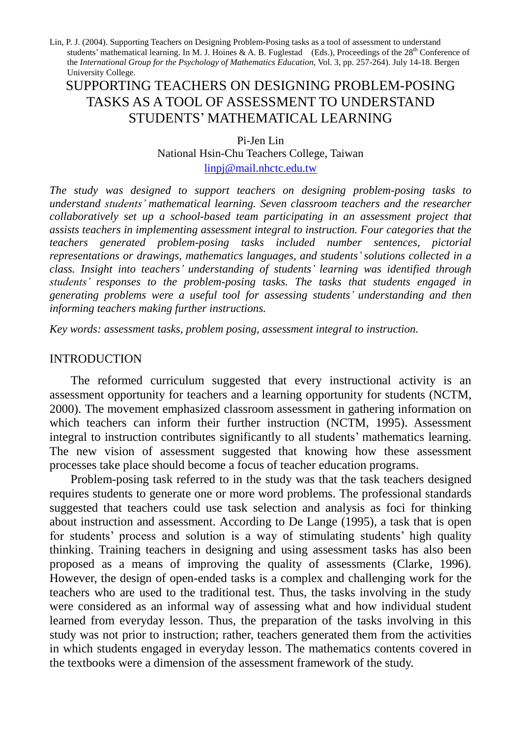# SUPPORTING TEACHERS ON DESIGNING PROBLEM-POSING TASKS AS A TOOL OF ASSESSMENT TO UNDERSTAND STUDENTS'MATHEMATICAL LEARNING

Pi-Jen Lin National Hsin-Chu Teachers College, Taiwan linpj@mail.nhctc.edu.tw

*The study was designed to support teachers on designing problem-posing tasks to understand students'mathematical learning. Seven classroom teachers and the researcher collaboratively set up a school-based team participating in an assessment project that assists teachers in implementing assessment integral to instruction. Four categories that the teachers generated problem-posing tasks included number sentences, pictorial representations or drawings, mathematics languages, and students'solutions collected in a class. Insight into teachers'understanding of students'learning was identified through students'responses to the problem-posing tasks. The tasks that students engaged in generating problems were a useful tool for assessing students'understanding and then informing teachers making further instructions.*

*Key words: assessment tasks, problem posing, assessment integral to instruction.*

#### INTRODUCTION

The reformed curriculum suggested that every instructional activity is an assessment opportunity for teachers and a learning opportunity for students (NCTM, 2000). The movement emphasized classroom assessment in gathering information on which teachers can inform their further instruction (NCTM, 1995). Assessment integral to instruction contributes significantly to all students'mathematics learning. The new vision of assessment suggested that knowing how these assessment processes take place should become a focus of teacher education programs.

Problem-posing task referred to in the study was that the task teachers designed requires students to generate one or more word problems. The professional standards suggested that teachers could use task selection and analysis as foci for thinking about instruction and assessment. According to De Lange (1995), a task that is open for students' process and solution is a way of stimulating students' high quality thinking. Training teachers in designing and using assessment tasks has also been proposed as a means of improving the quality of assessments (Clarke, 1996). However, the design of open-ended tasks is a complex and challenging work for the teachers who are used to the traditional test. Thus, the tasks involving in the study were considered as an informal way of assessing what and how individual student learned from everyday lesson. Thus, the preparation of the tasks involving in this study was not prior to instruction; rather, teachers generated them from the activities in which students engaged in everyday lesson. The mathematics contents covered in the textbooks were a dimension of the assessment framework of the study.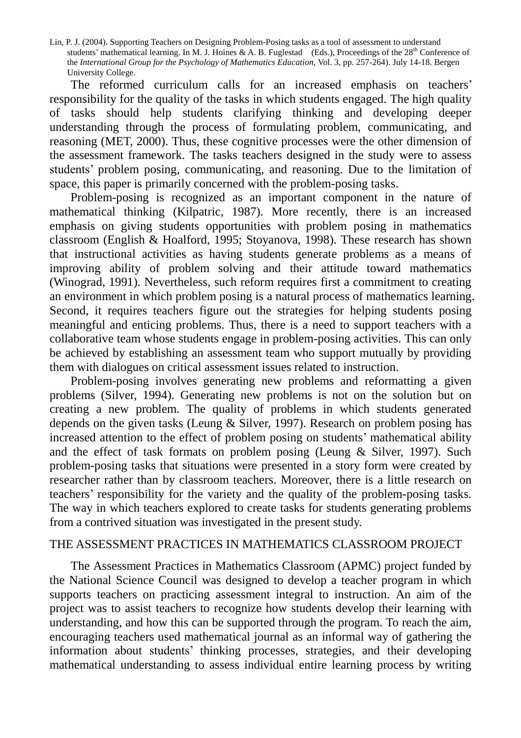The reformed curriculum calls for an increased emphasis on teachers' responsibility for the quality of the tasks in which students engaged. The high quality of tasks should help students clarifying thinking and developing deeper understanding through the process of formulating problem, communicating, and reasoning (MET, 2000). Thus, these cognitive processes were the other dimension of the assessment framework. The tasks teachers designed in the study were to assess students' problem posing, communicating, and reasoning. Due to the limitation of space, this paper is primarily concerned with the problem-posing tasks.

Problem-posing is recognized as an important component in the nature of mathematical thinking (Kilpatric, 1987). More recently, there is an increased emphasis on giving students opportunities with problem posing in mathematics classroom (English & Hoalford, 1995; Stoyanova, 1998). These research has shown that instructional activities as having students generate problems as a means of improving ability of problem solving and their attitude toward mathematics (Winograd, 1991). Nevertheless, such reform requires first a commitment to creating an environment in which problem posing is a natural process of mathematics learning. Second, it requires teachers figure out the strategies for helping students posing meaningful and enticing problems. Thus, there is a need to support teachers with a collaborative team whose students engage in problem-posing activities. This can only be achieved by establishing an assessment team who support mutually by providing them with dialogues on critical assessment issues related to instruction.

Problem-posing involves generating new problems and reformatting a given problems (Silver, 1994). Generating new problems is not on the solution but on creating a new problem. The quality of problems in which students generated depends on the given tasks (Leung & Silver, 1997). Research on problem posing has increased attention to the effect of problem posing on students'mathematical ability and the effect of task formats on problem posing (Leung & Silver, 1997). Such problem-posing tasks that situations were presented in a story form were created by researcher rather than by classroom teachers. Moreover, there is a little research on teachers'responsibility for the variety and the quality of the problem-posing tasks. The way in which teachers explored to create tasks for students generating problems from a contrived situation was investigated in the present study.

#### THE ASSESSMENT PRACTICES IN MATHEMATICS CLASSROOM PROJECT

The Assessment Practices in Mathematics Classroom (APMC) project funded by the National Science Council was designed to develop a teacher program in which supports teachers on practicing assessment integral to instruction. An aim of the project was to assist teachers to recognize how students develop their learning with understanding, and how this can be supported through the program. To reach the aim, encouraging teachers used mathematical journal as an informal way of gathering the information about students' thinking processes, strategies, and their developing mathematical understanding to assess individual entire learning process by writing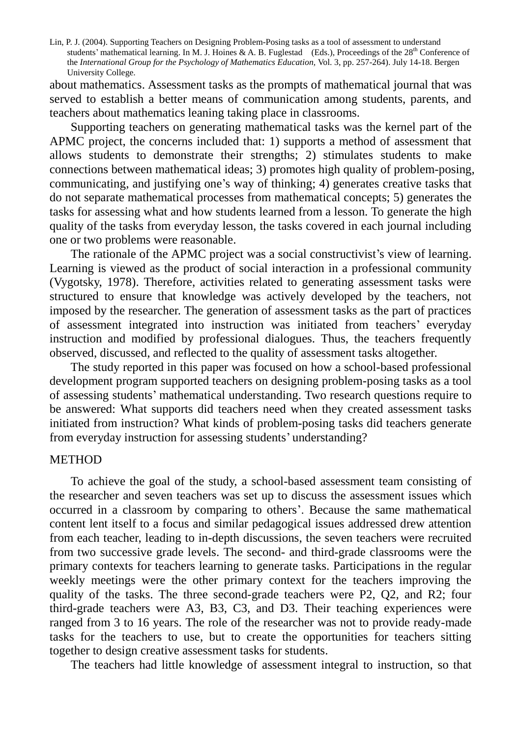about mathematics. Assessment tasks as the prompts of mathematical journal that was served to establish a better means of communication among students, parents, and teachers about mathematics leaning taking place in classrooms.

Supporting teachers on generating mathematical tasks was the kernel part of the APMC project, the concerns included that: 1) supports a method of assessment that allows students to demonstrate their strengths; 2) stimulates students to make connections between mathematical ideas; 3) promotes high quality of problem-posing, communicating, and justifying one's way of thinking; 4) generates creative tasks that do not separate mathematical processes from mathematical concepts; 5) generates the tasks for assessing what and how students learned from a lesson. To generate the high quality of the tasks from everyday lesson, the tasks covered in each journal including one or two problems were reasonable.

The rationale of the APMC project was a social constructivist's view of learning. Learning is viewed as the product of social interaction in a professional community (Vygotsky, 1978). Therefore, activities related to generating assessment tasks were structured to ensure that knowledge was actively developed by the teachers, not imposed by the researcher. The generation of assessment tasks as the part of practices of assessment integrated into instruction was initiated from teachers'everyday instruction and modified by professional dialogues. Thus, the teachers frequently observed, discussed, and reflected to the quality of assessment tasks altogether.

The study reported in this paper was focused on how a school-based professional development program supported teachers on designing problem-posing tasks as a tool of assessing students'mathematical understanding. Two research questions require to be answered: What supports did teachers need when they created assessment tasks initiated from instruction? What kinds of problem-posing tasks did teachers generate from everyday instruction for assessing students'understanding?

#### **METHOD**

To achieve the goal of the study, a school-based assessment team consisting of the researcher and seven teachers was set up to discuss the assessment issues which occurred in a classroom by comparing to others'.Because the same mathematical content lent itself to a focus and similar pedagogical issues addressed drew attention from each teacher, leading to in-depth discussions, the seven teachers were recruited from two successive grade levels. The second- and third-grade classrooms were the primary contexts for teachers learning to generate tasks. Participations in the regular weekly meetings were the other primary context for the teachers improving the quality of the tasks. The three second-grade teachers were P2, Q2, and R2; four third-grade teachers were A3, B3, C3, and D3. Their teaching experiences were ranged from 3 to 16 years. The role of the researcher was not to provide ready-made tasks for the teachers to use, but to create the opportunities for teachers sitting together to design creative assessment tasks for students.

The teachers had little knowledge of assessment integral to instruction, so that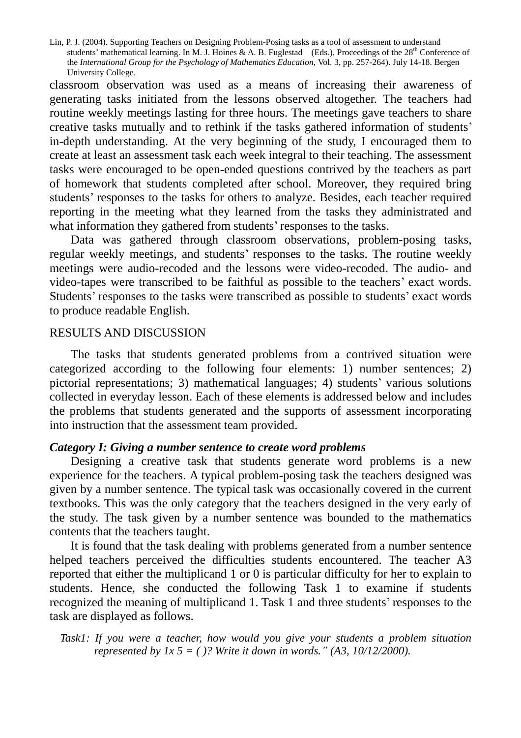classroom observation was used as a means of increasing their awareness of generating tasks initiated from the lessons observed altogether. The teachers had routine weekly meetings lasting for three hours. The meetings gave teachers to share creative tasks mutually and to rethink if the tasks gathered information of students' in-depth understanding. At the very beginning of the study, I encouraged them to create at least an assessment task each week integral to their teaching. The assessment tasks were encouraged to be open-ended questions contrived by the teachers as part of homework that students completed after school. Moreover, they required bring students' responses to the tasks for others to analyze. Besides, each teacher required reporting in the meeting what they learned from the tasks they administrated and what information they gathered from students' responses to the tasks.

Data was gathered through classroom observations, problem-posing tasks, regular weekly meetings, and students'responses to the tasks. The routine weekly meetings were audio-recoded and the lessons were video-recoded. The audio- and video-tapes were transcribed to be faithful as possible to the teachers'exact words. Students' responses to the tasks were transcribed as possible to students' exact words to produce readable English.

#### RESULTS AND DISCUSSION

The tasks that students generated problems from a contrived situation were categorized according to the following four elements: 1) number sentences; 2) pictorial representations; 3) mathematical languages; 4) students' various solutions collected in everyday lesson. Each of these elements is addressed below and includes the problems that students generated and the supports of assessment incorporating into instruction that the assessment team provided.

# *Category I: Giving a number sentence to create word problems*

Designing a creative task that students generate word problems is a new experience for the teachers. A typical problem-posing task the teachers designed was given by a number sentence. The typical task was occasionally covered in the current textbooks. This was the only category that the teachers designed in the very early of the study. The task given by a number sentence was bounded to the mathematics contents that the teachers taught.

It is found that the task dealing with problems generated from a number sentence helped teachers perceived the difficulties students encountered. The teacher A3 reported that either the multiplicand 1 or 0 is particular difficulty for her to explain to students. Hence, she conducted the following Task 1 to examine if students recognized the meaning of multiplicand 1. Task 1 and three students'responses to the task are displayed as follows.

*Task1: If you were a teacher, how would you give your students a problem situation represented by 1x 5 = ( )? Write it down in words.*  $" (A3, 10/12/2000)$ .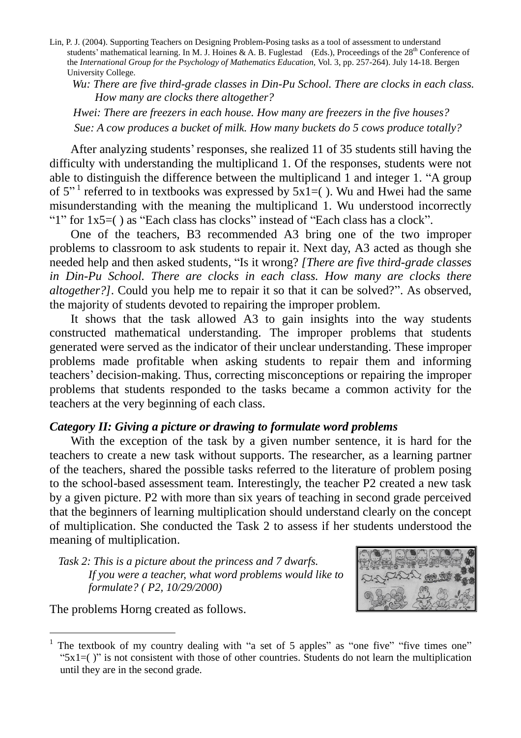*Wu: There are five third-grade classes in Din-Pu School. There are clocks in each class. How many are clocks there altogether?*

*Hwei: There are freezers in each house. How many are freezers in the five houses? Sue: A cow produces a bucket of milk. How many buckets do 5 cows produce totally?*

After analyzing students'responses, she realized 11 of 35 students still having the difficulty with understanding the multiplicand 1. Of the responses, students were not able to distinguish the difference between the multiplicand 1 and integer 1. "A group of 5"<sup>1</sup> referred to in textbooks was expressed by  $5x\overline{1}$  = (). Wu and Hwei had the same misunderstanding with the meaning the multiplicand 1. Wu understood incorrectly "1" for  $1x5=$  () as "Each class has clocks" instead of "Each class has a clock".

One of the teachers, B3 recommended A3 bring one of the two improper problems to classroom to ask students to repair it. Next day, A3 acted as though she needed help and then asked students, "Is it wrong? *[There are five third-grade classes in Din-Pu School. There are clocks in each class. How many are clocks there altogether?]*. Could you help me to repair it so that it can be solved?". As observed, the majority of students devoted to repairing the improper problem.

It shows that the task allowed A3 to gain insights into the way students constructed mathematical understanding. The improper problems that students generated were served as the indicator of their unclear understanding. These improper problems made profitable when asking students to repair them and informing teachers'decision-making. Thus, correcting misconceptions or repairing the improper problems that students responded to the tasks became a common activity for the teachers at the very beginning of each class.

# *Category II: Giving a picture or drawing to formulate word problems*

With the exception of the task by a given number sentence, it is hard for the teachers to create a new task without supports. The researcher, as a learning partner of the teachers, shared the possible tasks referred to the literature of problem posing to the school-based assessment team. Interestingly, the teacher P2 created a new task by a given picture. P2 with more than six years of teaching in second grade perceived that the beginners of learning multiplication should understand clearly on the concept of multiplication. She conducted the Task 2 to assess if her students understood the meaning of multiplication.

*Task 2: This is a picture about the princess and 7 dwarfs. If you were a teacher, what word problems would like to formulate? ( P2, 10/29/2000)*

The problems Horng created as follows.



<sup>1</sup> The textbook of my country dealing with "a set of 5 apples" as "one five" "five times one" " $5x1=$  " $\frac{1}{2}$ " is not consistent with those of other countries. Students do not learn the multiplication until they are in the second grade.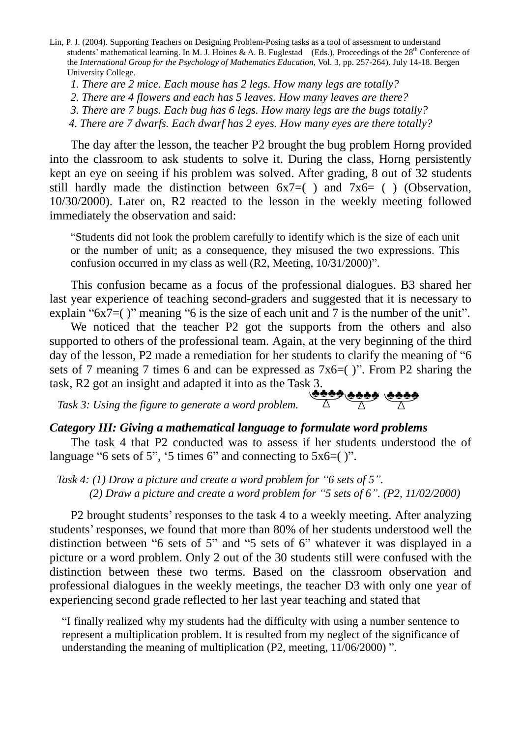*1. There are 2 mice. Each mouse has 2 legs. How many legs are totally?*

*2. There are 4 flowers and each has 5 leaves. How many leaves are there?*

*3. There are 7 bugs. Each bug has 6 legs. How many legs are the bugs totally?*

*4. There are 7 dwarfs. Each dwarf has 2 eyes. How many eyes are there totally?*

The day after the lesson, the teacher P2 brought the bug problem Horng provided into the classroom to ask students to solve it. During the class, Horng persistently kept an eye on seeing if his problem was solved. After grading, 8 out of 32 students still hardly made the distinction between  $6x7=( )$  and  $7x6= ( )$  (Observation, 10/30/2000). Later on, R2 reacted to the lesson in the weekly meeting followed immediately the observation and said:

"Students did not look the problem carefully to identify which is the size of each unit or the number of unit; as a consequence, they misused the two expressions. This confusion occurred in my class as well (R2, Meeting, 10/31/2000)".

This confusion became as a focus of the professional dialogues. B3 shared her last year experience of teaching second-graders and suggested that it is necessary to explain " $6x7=($ " meaning "6 is the size of each unit and 7 is the number of the unit".

We noticed that the teacher P2 got the supports from the others and also supported to others of the professional team. Again, at the very beginning of the third day of the lesson, P2 made a remediation for her students to clarify the meaning of "6 sets of 7 meaning 7 times 6 and can be expressed as 7x6=( )". From P2 sharing the task, R2 got an insight and adapted it into as the Task 3.

*Task 3: Using the figure to generate a word problem.* ♣♣♣♣♣♣♣♣ ♣♣♣♣

# *Category III: Giving a mathematical language to formulate word problems*

The task 4 that P2 conducted was to assess if her students understood the of language "6 sets of 5", '5 times 6" and connecting to  $5x6=($  ".

*Task 4: (1) Draw a picture and create a word problem for "6 sets of 5". (2) Draw a picture and create a word problem for "5 sets of 6". (P2, 11/02/2000)*

P2 brought students'responses to the task 4 to a weekly meeting. After analyzing students'responses, we found that more than 80% of her students understood well the distinction between "6 sets of 5" and "5 sets of 6" whatever it was displayed in a picture or a word problem. Only 2 out of the 30 students still were confused with the distinction between these two terms. Based on the classroom observation and professional dialogues in the weekly meetings, the teacher D3 with only one year of experiencing second grade reflected to her last year teaching and stated that

"I finally realized why my students had the difficulty with using a number sentence to represent a multiplication problem. It is resulted from my neglect of the significance of understanding the meaning of multiplication (P2, meeting, 11/06/2000) ".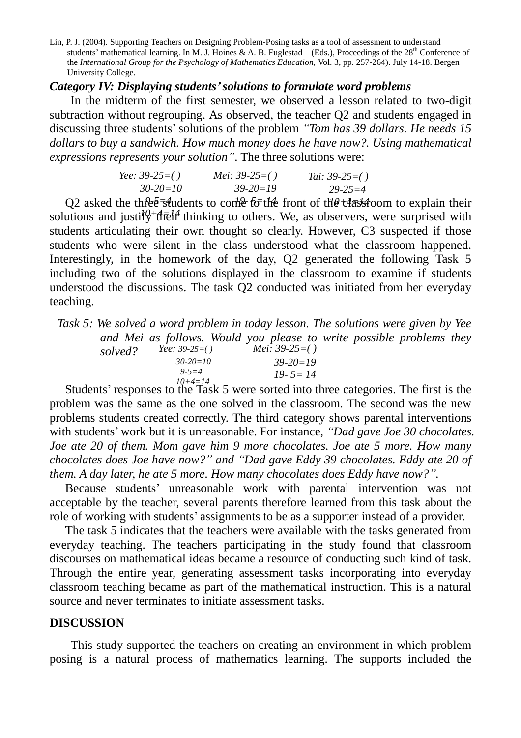# *Category IV: Displaying students'solutions to formulate word problems*

In the midterm of the first semester, we observed a lesson related to two-digit subtraction without regrouping. As observed, the teacher Q2 and students engaged in discussing three students'solutions of the problem *"Tom has 39 dollars. He needs 15 dollars to buy a sandwich. How much money does he have now?. Using mathematical expressions represents your solution"*. The three solutions were:

| <i>Yee:</i> $39-25=()$ | <i>Mei:</i> 39-25=() | <i>Tai</i> : $39-25=()$ |
|------------------------|----------------------|-------------------------|
| $30 - 20 = 10$         | $39 - 20 = 19$       | $29 - 25 = 4$           |

Q2 asked the three students to come to the front of the elastroom to explain their solutions and justify<sup>+</sup> the l<sup>4</sup> thinking to others. We, as observers, were surprised with students articulating their own thought so clearly. However, C3 suspected if those students who were silent in the class understood what the classroom happened. Interestingly, in the homework of the day, Q2 generated the following Task 5 including two of the solutions displayed in the classroom to examine if students understood the discussions. The task Q2 conducted was initiated from her everyday teaching.

*Task 5: We solved a word problem in today lesson. The solutions were given by Yee and Mei as follows. Would you please to write possible problems they solved? Yee: 39-25=( ) 30-20=10 9-5=4 Mei: 39-25=( ) 39-20=19 19- 5= 14*

Students' responses to the Task 5 were sorted into three categories. The first is the problem was the same as the one solved in the classroom. The second was the new problems students created correctly. The third category shows parental interventions with students'work but it is unreasonable. For instance, *"Dad gave Joe 30 chocolates. Joe ate 20 of them. Mom gave him 9 more chocolates. Joe ate 5 more. How many chocolates does Joe have now?"and "Dad gave Eddy 39 chocolates. Eddy ate 20 of them. A day later, he ate 5 more. How many chocolates does Eddy have now?".*

Because students' unreasonable work with parental intervention was not acceptable by the teacher, several parents therefore learned from this task about the role of working with students'assignments to be as a supporter instead of a provider.

The task 5 indicates that the teachers were available with the tasks generated from everyday teaching. The teachers participating in the study found that classroom discourses on mathematical ideas became a resource of conducting such kind of task. Through the entire year, generating assessment tasks incorporating into everyday classroom teaching became as part of the mathematical instruction. This is a natural source and never terminates to initiate assessment tasks.

#### **DISCUSSION**

This study supported the teachers on creating an environment in which problem posing is a natural process of mathematics learning. The supports included the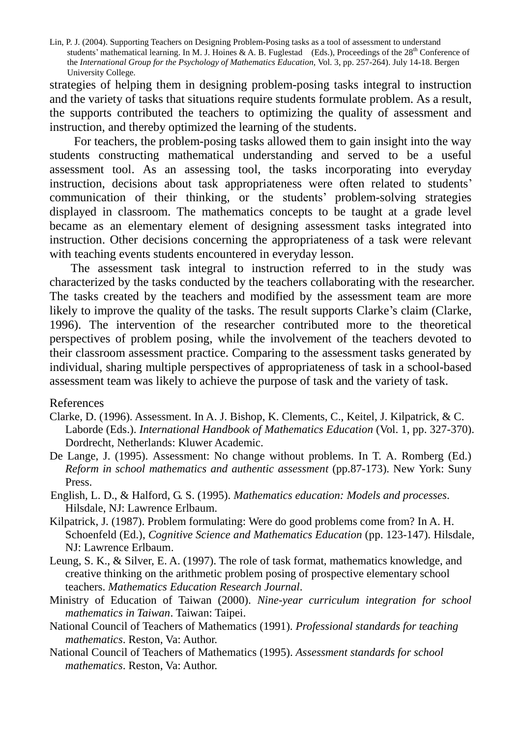strategies of helping them in designing problem-posing tasks integral to instruction and the variety of tasks that situations require students formulate problem. As a result, the supports contributed the teachers to optimizing the quality of assessment and instruction, and thereby optimized the learning of the students.

For teachers, the problem-posing tasks allowed them to gain insight into the way students constructing mathematical understanding and served to be a useful assessment tool. As an assessing tool, the tasks incorporating into everyday instruction, decisions about task appropriateness were often related to students' communication of their thinking, or the students' problem-solving strategies displayed in classroom. The mathematics concepts to be taught at a grade level became as an elementary element of designing assessment tasks integrated into instruction. Other decisions concerning the appropriateness of a task were relevant with teaching events students encountered in everyday lesson.

The assessment task integral to instruction referred to in the study was characterized by the tasks conducted by the teachers collaborating with the researcher. The tasks created by the teachers and modified by the assessment team are more likely to improve the quality of the tasks. The result supports Clarke's claim (Clarke, 1996). The intervention of the researcher contributed more to the theoretical perspectives of problem posing, while the involvement of the teachers devoted to their classroom assessment practice. Comparing to the assessment tasks generated by individual, sharing multiple perspectives of appropriateness of task in a school-based assessment team was likely to achieve the purpose of task and the variety of task.

#### References

- Clarke, D. (1996). Assessment. In A. J. Bishop, K. Clements, C., Keitel, J. Kilpatrick, & C. Laborde (Eds.). *International Handbook of Mathematics Education* (Vol. 1, pp. 327-370). Dordrecht, Netherlands: Kluwer Academic.
- De Lange, J. (1995). Assessment: No change without problems. In T. A. Romberg (Ed.) *Reform in school mathematics and authentic assessment* (pp.87-173). New York: Suny Press.
- English, L. D., & Halford, G. S. (1995). *Mathematics education: Models and processes*. Hilsdale, NJ: Lawrence Erlbaum.
- Kilpatrick, J. (1987). Problem formulating: Were do good problems come from? In A. H. Schoenfeld (Ed.), *Cognitive Science and Mathematics Education* (pp. 123-147). Hilsdale, NJ: Lawrence Erlbaum.
- Leung, S. K., & Silver, E. A. (1997). The role of task format, mathematics knowledge, and creative thinking on the arithmetic problem posing of prospective elementary school teachers. *Mathematics Education Research Journal*.
- Ministry of Education of Taiwan (2000). *Nine-year curriculum integration for school mathematics in Taiwan*. Taiwan: Taipei.
- National Council of Teachers of Mathematics (1991). *Professional standards for teaching mathematics*. Reston, Va: Author.
- National Council of Teachers of Mathematics (1995). *Assessment standards for school mathematics*. Reston, Va: Author.